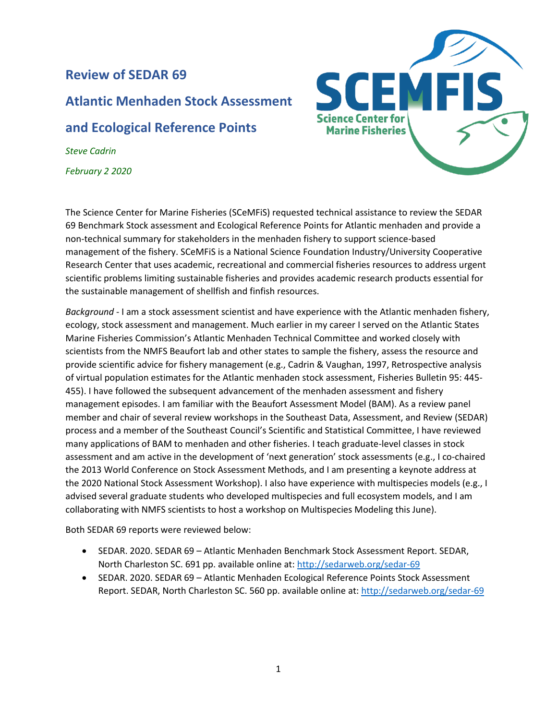## **Review of SEDAR 69**

# **Atlantic Menhaden Stock Assessment**

### **and Ecological Reference Points**

*Steve Cadrin February 2 2020*



The Science Center for Marine Fisheries (SCeMFiS) requested technical assistance to review the SEDAR 69 Benchmark Stock assessment and Ecological Reference Points for Atlantic menhaden and provide a non-technical summary for stakeholders in the menhaden fishery to support science-based management of the fishery. SCeMFiS is a National Science Foundation Industry/University Cooperative Research Center that uses academic, recreational and commercial fisheries resources to address urgent scientific problems limiting sustainable fisheries and provides academic research products essential for the sustainable management of shellfish and finfish resources.

*Background* - I am a stock assessment scientist and have experience with the Atlantic menhaden fishery, ecology, stock assessment and management. Much earlier in my career I served on the Atlantic States Marine Fisheries Commission's Atlantic Menhaden Technical Committee and worked closely with scientists from the NMFS Beaufort lab and other states to sample the fishery, assess the resource and provide scientific advice for fishery management (e.g., Cadrin & Vaughan, 1997, Retrospective analysis of virtual population estimates for the Atlantic menhaden stock assessment, Fisheries Bulletin 95: 445- 455). I have followed the subsequent advancement of the menhaden assessment and fishery management episodes. I am familiar with the Beaufort Assessment Model (BAM). As a review panel member and chair of several review workshops in the Southeast Data, Assessment, and Review (SEDAR) process and a member of the Southeast Council's Scientific and Statistical Committee, I have reviewed many applications of BAM to menhaden and other fisheries. I teach graduate-level classes in stock assessment and am active in the development of 'next generation' stock assessments (e.g., I co-chaired the 2013 World Conference on Stock Assessment Methods, and I am presenting a keynote address at the 2020 National Stock Assessment Workshop). I also have experience with multispecies models (e.g., I advised several graduate students who developed multispecies and full ecosystem models, and I am collaborating with NMFS scientists to host a workshop on Multispecies Modeling this June).

Both SEDAR 69 reports were reviewed below:

- SEDAR. 2020. SEDAR 69 Atlantic Menhaden Benchmark Stock Assessment Report. SEDAR, North Charleston SC. 691 pp. available online at[: http://sedarweb.org/sedar-69](http://sedarweb.org/sedar-69)
- SEDAR. 2020. SEDAR 69 Atlantic Menhaden Ecological Reference Points Stock Assessment Report. SEDAR, North Charleston SC. 560 pp. available online at:<http://sedarweb.org/sedar-69>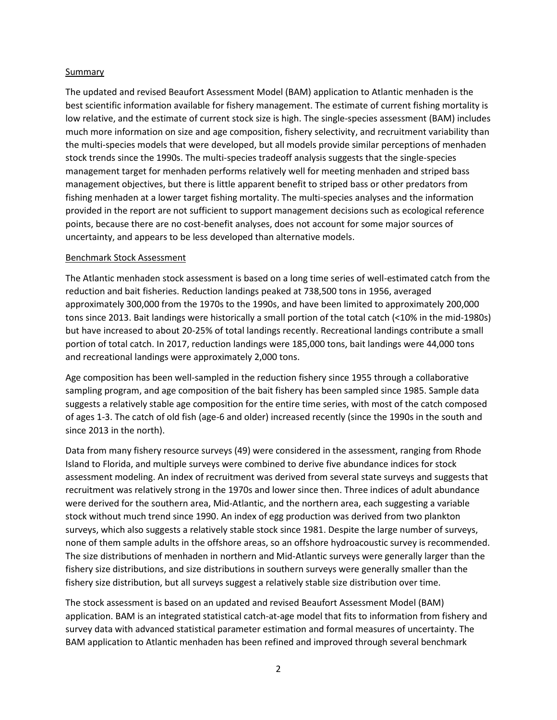#### Summary

The updated and revised Beaufort Assessment Model (BAM) application to Atlantic menhaden is the best scientific information available for fishery management. The estimate of current fishing mortality is low relative, and the estimate of current stock size is high. The single-species assessment (BAM) includes much more information on size and age composition, fishery selectivity, and recruitment variability than the multi-species models that were developed, but all models provide similar perceptions of menhaden stock trends since the 1990s. The multi-species tradeoff analysis suggests that the single-species management target for menhaden performs relatively well for meeting menhaden and striped bass management objectives, but there is little apparent benefit to striped bass or other predators from fishing menhaden at a lower target fishing mortality. The multi-species analyses and the information provided in the report are not sufficient to support management decisions such as ecological reference points, because there are no cost-benefit analyses, does not account for some major sources of uncertainty, and appears to be less developed than alternative models.

#### Benchmark Stock Assessment

The Atlantic menhaden stock assessment is based on a long time series of well-estimated catch from the reduction and bait fisheries. Reduction landings peaked at 738,500 tons in 1956, averaged approximately 300,000 from the 1970s to the 1990s, and have been limited to approximately 200,000 tons since 2013. Bait landings were historically a small portion of the total catch (<10% in the mid-1980s) but have increased to about 20-25% of total landings recently. Recreational landings contribute a small portion of total catch. In 2017, reduction landings were 185,000 tons, bait landings were 44,000 tons and recreational landings were approximately 2,000 tons.

Age composition has been well-sampled in the reduction fishery since 1955 through a collaborative sampling program, and age composition of the bait fishery has been sampled since 1985. Sample data suggests a relatively stable age composition for the entire time series, with most of the catch composed of ages 1-3. The catch of old fish (age-6 and older) increased recently (since the 1990s in the south and since 2013 in the north).

Data from many fishery resource surveys (49) were considered in the assessment, ranging from Rhode Island to Florida, and multiple surveys were combined to derive five abundance indices for stock assessment modeling. An index of recruitment was derived from several state surveys and suggests that recruitment was relatively strong in the 1970s and lower since then. Three indices of adult abundance were derived for the southern area, Mid-Atlantic, and the northern area, each suggesting a variable stock without much trend since 1990. An index of egg production was derived from two plankton surveys, which also suggests a relatively stable stock since 1981. Despite the large number of surveys, none of them sample adults in the offshore areas, so an offshore hydroacoustic survey is recommended. The size distributions of menhaden in northern and Mid-Atlantic surveys were generally larger than the fishery size distributions, and size distributions in southern surveys were generally smaller than the fishery size distribution, but all surveys suggest a relatively stable size distribution over time.

The stock assessment is based on an updated and revised Beaufort Assessment Model (BAM) application. BAM is an integrated statistical catch-at-age model that fits to information from fishery and survey data with advanced statistical parameter estimation and formal measures of uncertainty. The BAM application to Atlantic menhaden has been refined and improved through several benchmark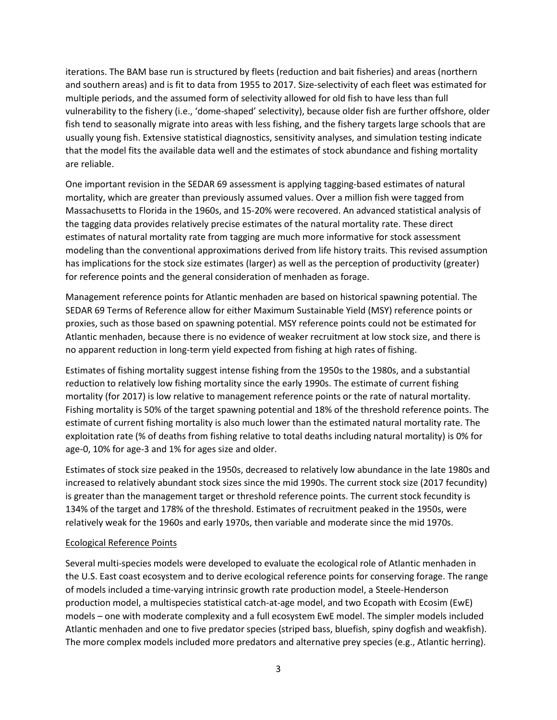iterations. The BAM base run is structured by fleets (reduction and bait fisheries) and areas (northern and southern areas) and is fit to data from 1955 to 2017. Size-selectivity of each fleet was estimated for multiple periods, and the assumed form of selectivity allowed for old fish to have less than full vulnerability to the fishery (i.e., 'dome-shaped' selectivity), because older fish are further offshore, older fish tend to seasonally migrate into areas with less fishing, and the fishery targets large schools that are usually young fish. Extensive statistical diagnostics, sensitivity analyses, and simulation testing indicate that the model fits the available data well and the estimates of stock abundance and fishing mortality are reliable.

One important revision in the SEDAR 69 assessment is applying tagging-based estimates of natural mortality, which are greater than previously assumed values. Over a million fish were tagged from Massachusetts to Florida in the 1960s, and 15-20% were recovered. An advanced statistical analysis of the tagging data provides relatively precise estimates of the natural mortality rate. These direct estimates of natural mortality rate from tagging are much more informative for stock assessment modeling than the conventional approximations derived from life history traits. This revised assumption has implications for the stock size estimates (larger) as well as the perception of productivity (greater) for reference points and the general consideration of menhaden as forage.

Management reference points for Atlantic menhaden are based on historical spawning potential. The SEDAR 69 Terms of Reference allow for either Maximum Sustainable Yield (MSY) reference points or proxies, such as those based on spawning potential. MSY reference points could not be estimated for Atlantic menhaden, because there is no evidence of weaker recruitment at low stock size, and there is no apparent reduction in long-term yield expected from fishing at high rates of fishing.

Estimates of fishing mortality suggest intense fishing from the 1950s to the 1980s, and a substantial reduction to relatively low fishing mortality since the early 1990s. The estimate of current fishing mortality (for 2017) is low relative to management reference points or the rate of natural mortality. Fishing mortality is 50% of the target spawning potential and 18% of the threshold reference points. The estimate of current fishing mortality is also much lower than the estimated natural mortality rate. The exploitation rate (% of deaths from fishing relative to total deaths including natural mortality) is 0% for age-0, 10% for age-3 and 1% for ages size and older.

Estimates of stock size peaked in the 1950s, decreased to relatively low abundance in the late 1980s and increased to relatively abundant stock sizes since the mid 1990s. The current stock size (2017 fecundity) is greater than the management target or threshold reference points. The current stock fecundity is 134% of the target and 178% of the threshold. Estimates of recruitment peaked in the 1950s, were relatively weak for the 1960s and early 1970s, then variable and moderate since the mid 1970s.

### Ecological Reference Points

Several multi-species models were developed to evaluate the ecological role of Atlantic menhaden in the U.S. East coast ecosystem and to derive ecological reference points for conserving forage. The range of models included a time-varying intrinsic growth rate production model, a Steele-Henderson production model, a multispecies statistical catch-at-age model, and two Ecopath with Ecosim (EwE) models – one with moderate complexity and a full ecosystem EwE model. The simpler models included Atlantic menhaden and one to five predator species (striped bass, bluefish, spiny dogfish and weakfish). The more complex models included more predators and alternative prey species (e.g., Atlantic herring).